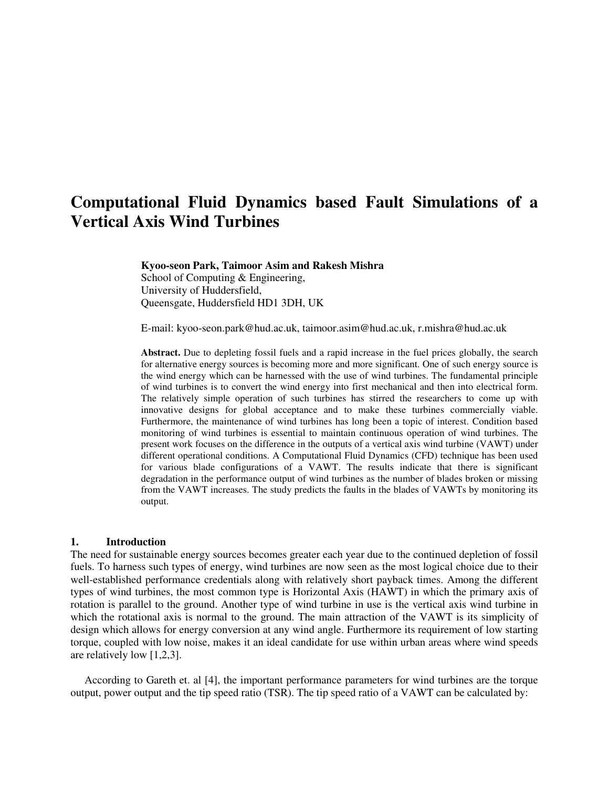# **Computational Fluid Dynamics based Fault Simulations of a Vertical Axis Wind Turbines**

**Kyoo-seon Park, Taimoor Asim and Rakesh Mishra**  School of Computing & Engineering, University of Huddersfield, Queensgate, Huddersfield HD1 3DH, UK

E-mail: kyoo-seon.park@hud.ac.uk, taimoor.asim@hud.ac.uk, r.mishra@hud.ac.uk

**Abstract.** Due to depleting fossil fuels and a rapid increase in the fuel prices globally, the search for alternative energy sources is becoming more and more significant. One of such energy source is the wind energy which can be harnessed with the use of wind turbines. The fundamental principle of wind turbines is to convert the wind energy into first mechanical and then into electrical form. The relatively simple operation of such turbines has stirred the researchers to come up with innovative designs for global acceptance and to make these turbines commercially viable. Furthermore, the maintenance of wind turbines has long been a topic of interest. Condition based monitoring of wind turbines is essential to maintain continuous operation of wind turbines. The present work focuses on the difference in the outputs of a vertical axis wind turbine (VAWT) under different operational conditions. A Computational Fluid Dynamics (CFD) technique has been used for various blade configurations of a VAWT. The results indicate that there is significant degradation in the performance output of wind turbines as the number of blades broken or missing from the VAWT increases. The study predicts the faults in the blades of VAWTs by monitoring its output.

#### **1. Introduction**

The need for sustainable energy sources becomes greater each year due to the continued depletion of fossil fuels. To harness such types of energy, wind turbines are now seen as the most logical choice due to their well-established performance credentials along with relatively short payback times. Among the different types of wind turbines, the most common type is Horizontal Axis (HAWT) in which the primary axis of rotation is parallel to the ground. Another type of wind turbine in use is the vertical axis wind turbine in which the rotational axis is normal to the ground. The main attraction of the VAWT is its simplicity of design which allows for energy conversion at any wind angle. Furthermore its requirement of low starting torque, coupled with low noise, makes it an ideal candidate for use within urban areas where wind speeds are relatively low [1,2,3].

According to Gareth et. al [4], the important performance parameters for wind turbines are the torque output, power output and the tip speed ratio (TSR). The tip speed ratio of a VAWT can be calculated by: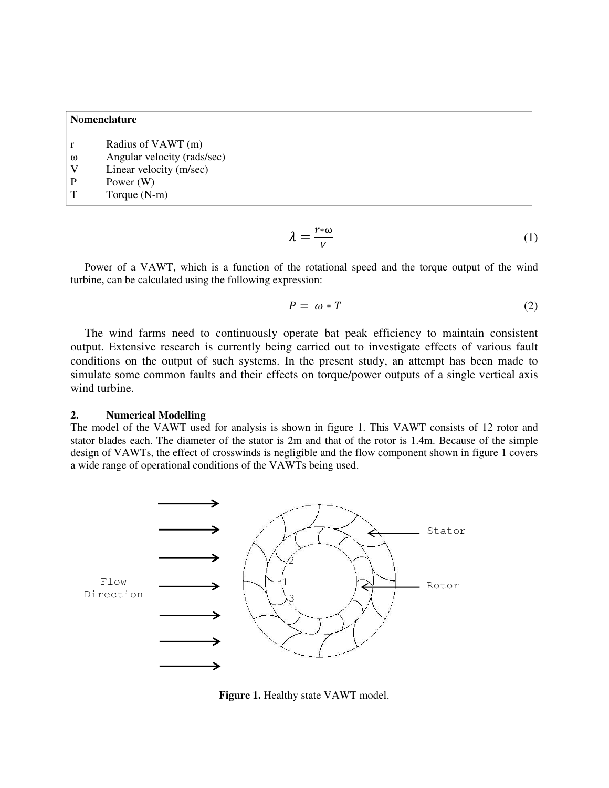#### **Nomenclature**

- r Radius of VAWT (m)
- ω Angular velocity (rads/sec)
- V Linear velocity (m/sec)
- P Power (W)
- T Torque (N-m) I

$$
\lambda = \frac{r \ast \omega}{V} \tag{1}
$$

Power of a VAWT, which is a function of the rotational speed and the torque output of the wind turbine, can be calculated using the following expression:

$$
P = \omega * T \tag{2}
$$

The wind farms need to continuously operate bat peak efficiency to maintain consistent output. Extensive research is currently being carried out to investigate effects of various fault conditions on the output of such systems. In the present study, an attempt has been made to simulate some common faults and their effects on torque/power outputs of a single vertical axis wind turbine.

#### **2. Numerical Modelling**

The model of the VAWT used for analysis is shown in figure 1. This VAWT consists of 12 rotor and stator blades each. The diameter of the stator is 2m and that of the rotor is 1.4m. Because of the simple design of VAWTs, the effect of crosswinds is negligible and the flow component shown in figure 1 covers a wide range of operational conditions of the VAWTs being used.



**Figure 1.** Healthy state VAWT model.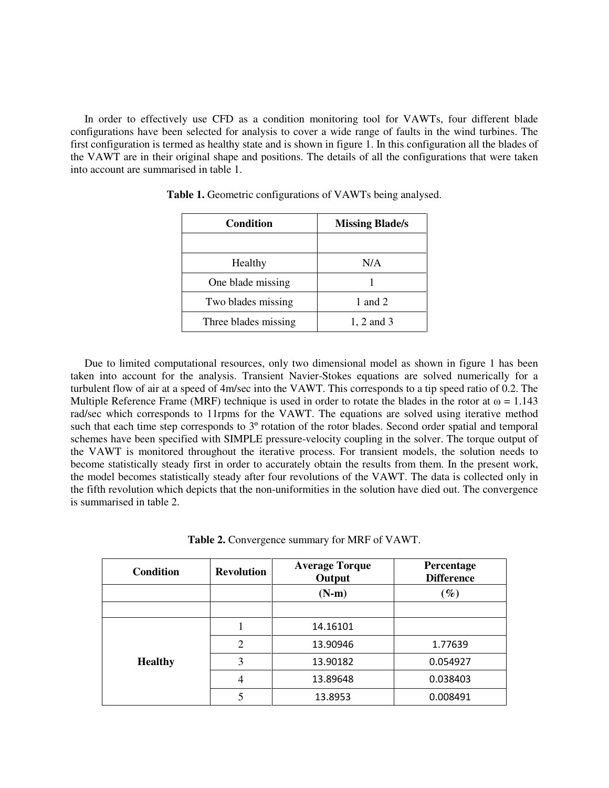In order to effectively use CFD as a condition monitoring tool for VAWTs, four different blade configurations have been selected for analysis to cover a wide range of faults in the wind turbines. The first configuration is termed as healthy state and is shown in figure 1. In this configuration all the blades of the VAWT are in their original shape and positions. The details of all the configurations that were taken into account are summarised in table 1.

| <b>Condition</b>     | <b>Missing Blade/s</b> |  |
|----------------------|------------------------|--|
|                      |                        |  |
| Healthy              | N/A                    |  |
| One blade missing    |                        |  |
| Two blades missing   | 1 and 2                |  |
| Three blades missing | 1, 2 and 3             |  |

**Table 1.** Geometric configurations of VAWTs being analysed.

Due to limited computational resources, only two dimensional model as shown in figure 1 has been taken into account for the analysis. Transient Navier-Stokes equations are solved numerically for a turbulent flow of air at a speed of 4m/sec into the VAWT. This corresponds to a tip speed ratio of 0.2. The Multiple Reference Frame (MRF) technique is used in order to rotate the blades in the rotor at  $\omega = 1.143$ rad/sec which corresponds to 11rpms for the VAWT. The equations are solved using iterative method such that each time step corresponds to 3<sup>°</sup> rotation of the rotor blades. Second order spatial and temporal schemes have been specified with SIMPLE pressure-velocity coupling in the solver. The torque output of the VAWT is monitored throughout the iterative process. For transient models, the solution needs to become statistically steady first in order to accurately obtain the results from them. In the present work, the model becomes statistically steady after four revolutions of the VAWT. The data is collected only in the fifth revolution which depicts that the non-uniformities in the solution have died out. The convergence is summarised in table 2.

**Table 2.** Convergence summary for MRF of VAWT.

| <b>Condition</b> | <b>Revolution</b> | <b>Average Torque</b><br>Output | Percentage<br><b>Difference</b> |
|------------------|-------------------|---------------------------------|---------------------------------|
|                  |                   | $(N-m)$                         | $(\%)$                          |
|                  |                   |                                 |                                 |
| <b>Healthy</b>   |                   | 14.16101                        |                                 |
|                  | $\overline{2}$    | 13.90946                        | 1.77639                         |
|                  | 3                 | 13.90182                        | 0.054927                        |
|                  | 4                 | 13.89648                        | 0.038403                        |
|                  | 5                 | 13.8953                         | 0.008491                        |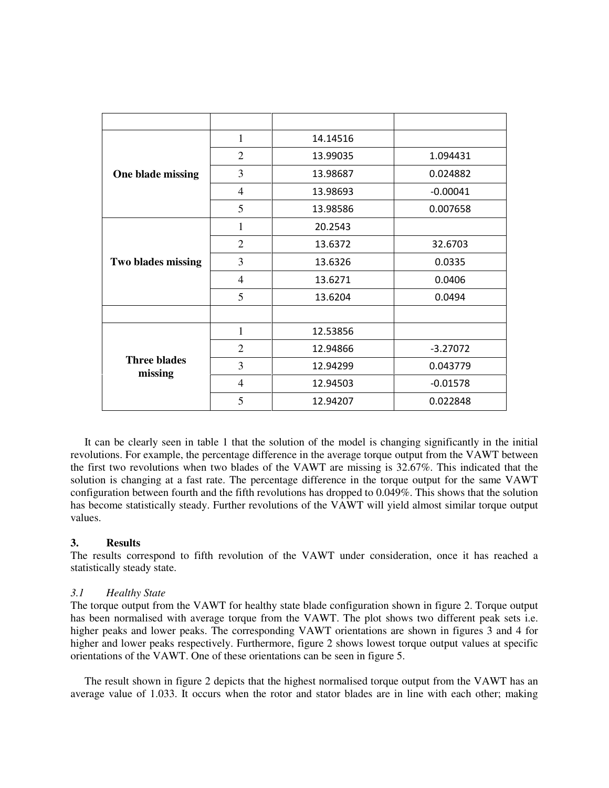| One blade missing              | 1              | 14.14516 |            |
|--------------------------------|----------------|----------|------------|
|                                | $\overline{2}$ | 13.99035 | 1.094431   |
|                                | 3              | 13.98687 | 0.024882   |
|                                | $\overline{4}$ | 13.98693 | $-0.00041$ |
|                                | 5              | 13.98586 | 0.007658   |
| Two blades missing             | 1              | 20.2543  |            |
|                                | 2              | 13.6372  | 32.6703    |
|                                | 3              | 13.6326  | 0.0335     |
|                                | $\overline{4}$ | 13.6271  | 0.0406     |
|                                | 5              | 13.6204  | 0.0494     |
|                                |                |          |            |
| <b>Three blades</b><br>missing | $\mathbf{1}$   | 12.53856 |            |
|                                | 2              | 12.94866 | $-3.27072$ |
|                                | 3              | 12.94299 | 0.043779   |
|                                | $\overline{4}$ | 12.94503 | $-0.01578$ |
|                                | 5              | 12.94207 | 0.022848   |

It can be clearly seen in table 1 that the solution of the model is changing significantly in the initial revolutions. For example, the percentage difference in the average torque output from the VAWT between the first two revolutions when two blades of the VAWT are missing is 32.67%. This indicated that the solution is changing at a fast rate. The percentage difference in the torque output for the same VAWT configuration between fourth and the fifth revolutions has dropped to 0.049%. This shows that the solution has become statistically steady. Further revolutions of the VAWT will yield almost similar torque output values.

## **3. Results**

The results correspond to fifth revolution of the VAWT under consideration, once it has reached a statistically steady state.

## *3.1 Healthy State*

The torque output from the VAWT for healthy state blade configuration shown in figure 2. Torque output has been normalised with average torque from the VAWT. The plot shows two different peak sets i.e. higher peaks and lower peaks. The corresponding VAWT orientations are shown in figures 3 and 4 for higher and lower peaks respectively. Furthermore, figure 2 shows lowest torque output values at specific orientations of the VAWT. One of these orientations can be seen in figure 5.

The result shown in figure 2 depicts that the highest normalised torque output from the VAWT has an average value of 1.033. It occurs when the rotor and stator blades are in line with each other; making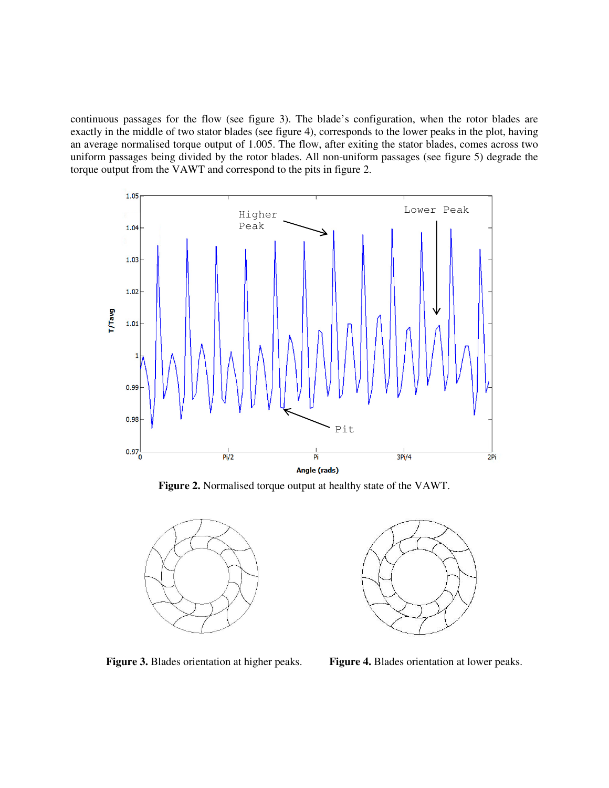continuous passages for the flow (see figure 3). The blade's configuration, when the rotor blades are exactly in the middle of two stator blades (see figure 4), corresponds to the lower peaks in the plot, having an average normalised torque output of 1.005. The flow, after exiting the stator blades, comes across two uniform passages being divided by the rotor blades. All non-uniform passages (see figure 5) degrade the torque output from the VAWT and correspond to the pits in figure 2.



**Figure 2.** Normalised torque output at healthy state of the VAWT.





 **Figure 3.** Blades orientation at higher peaks. **Figure 4.** Blades orientation at lower peaks.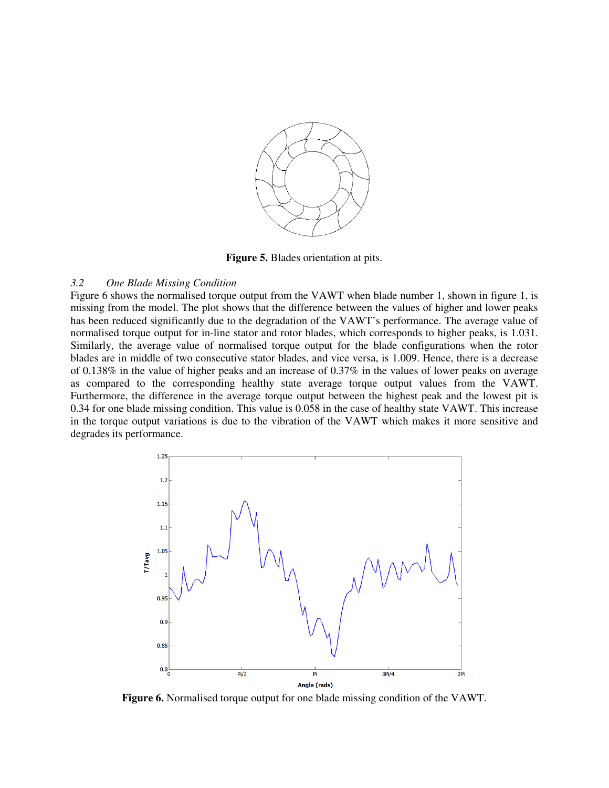

**Figure 5.** Blades orientation at pits.

### *3.2 One Blade Missing Condition*

Figure 6 shows the normalised torque output from the VAWT when blade number 1, shown in figure 1, is missing from the model. The plot shows that the difference between the values of higher and lower peaks has been reduced significantly due to the degradation of the VAWT's performance. The average value of normalised torque output for in-line stator and rotor blades, which corresponds to higher peaks, is 1.031. Similarly, the average value of normalised torque output for the blade configurations when the rotor blades are in middle of two consecutive stator blades, and vice versa, is 1.009. Hence, there is a decrease of 0.138% in the value of higher peaks and an increase of 0.37% in the values of lower peaks on average as compared to the corresponding healthy state average torque output values from the VAWT. Furthermore, the difference in the average torque output between the highest peak and the lowest pit is 0.34 for one blade missing condition. This value is 0.058 in the case of healthy state VAWT. This increase in the torque output variations is due to the vibration of the VAWT which makes it more sensitive and degrades its performance.



**Figure 6.** Normalised torque output for one blade missing condition of the VAWT.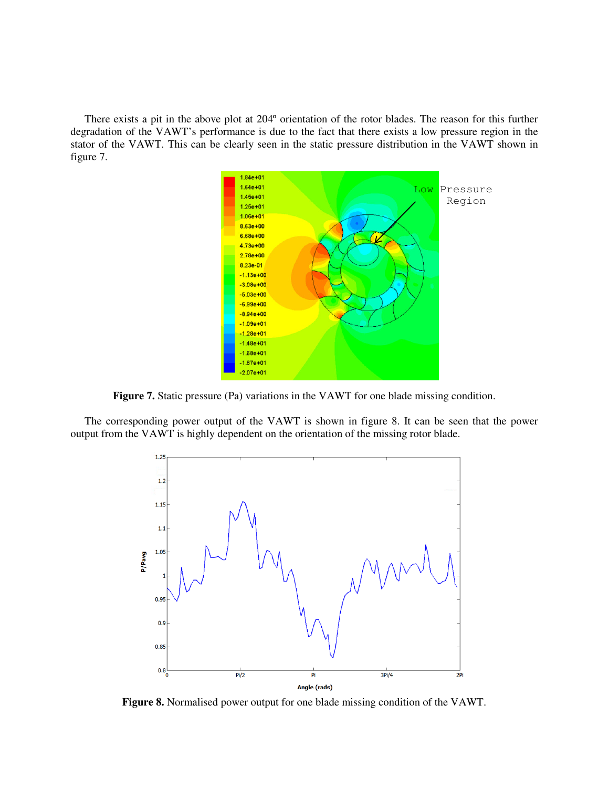There exists a pit in the above plot at 204º orientation of the rotor blades. The reason for this further degradation of the VAWT's performance is due to the fact that there exists a low pressure region in the stator of the VAWT. This can be clearly seen in the static pressure distribution in the VAWT shown in figure 7.



**Figure 7.** Static pressure (Pa) variations in the VAWT for one blade missing condition.

The corresponding power output of the VAWT is shown in figure 8. It can be seen that the power output from the VAWT is highly dependent on the orientation of the missing rotor blade.



**Figure 8.** Normalised power output for one blade missing condition of the VAWT.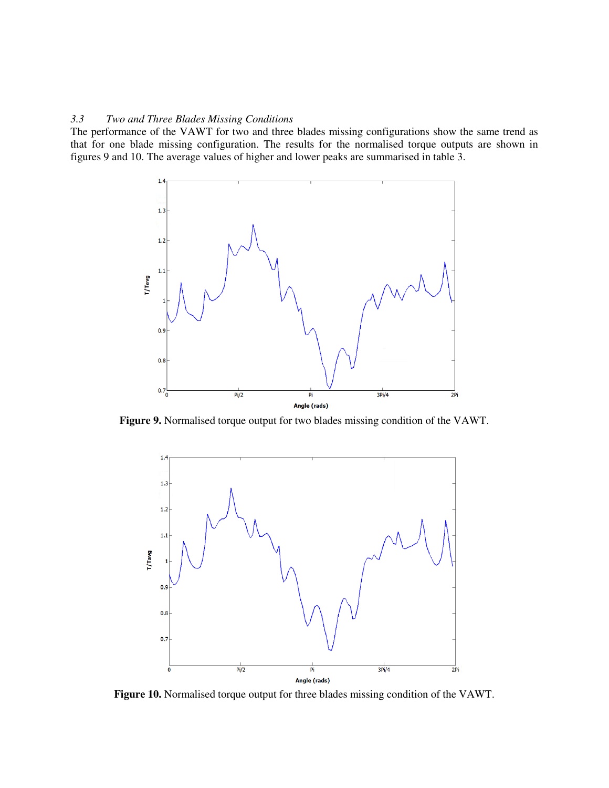### *3.3 Two and Three Blades Missing Conditions*

The performance of the VAWT for two and three blades missing configurations show the same trend as that for one blade missing configuration. The results for the normalised torque outputs are shown in figures 9 and 10. The average values of higher and lower peaks are summarised in table 3.



**Figure 9.** Normalised torque output for two blades missing condition of the VAWT.



**Figure 10.** Normalised torque output for three blades missing condition of the VAWT.